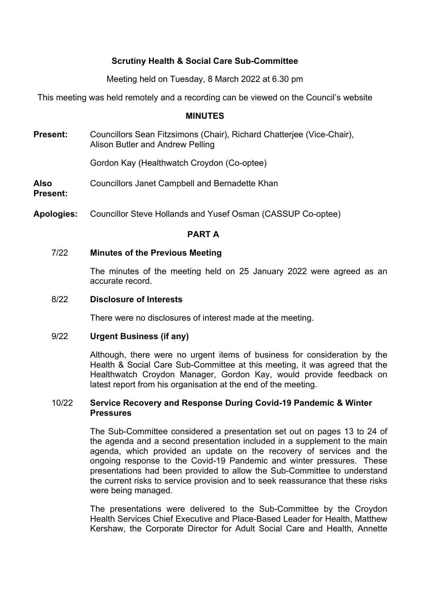# **Scrutiny Health & Social Care Sub-Committee**

Meeting held on Tuesday, 8 March 2022 at 6.30 pm

This meeting was held remotely and a recording can be viewed on the Council's website

#### **MINUTES**

**Present:** Councillors Sean Fitzsimons (Chair), Richard Chatterjee (Vice-Chair), Alison Butler and Andrew Pelling

Gordon Kay (Healthwatch Croydon (Co-optee)

**Also** Councillors Janet Campbell and Bernadette Khan

**Present:**

**Apologies:** Councillor Steve Hollands and Yusef Osman (CASSUP Co-optee)

### **PART A**

#### 7/22 **Minutes of the Previous Meeting**

The minutes of the meeting held on 25 January 2022 were agreed as an accurate record.

#### 8/22 **Disclosure of Interests**

There were no disclosures of interest made at the meeting.

#### 9/22 **Urgent Business (if any)**

Although, there were no urgent items of business for consideration by the Health & Social Care Sub-Committee at this meeting, it was agreed that the Healthwatch Croydon Manager, Gordon Kay, would provide feedback on latest report from his organisation at the end of the meeting.

### 10/22 **Service Recovery and Response During Covid-19 Pandemic & Winter Pressures**

The Sub-Committee considered a presentation set out on pages 13 to 24 of the agenda and a second presentation included in a supplement to the main agenda, which provided an update on the recovery of services and the ongoing response to the Covid-19 Pandemic and winter pressures. These presentations had been provided to allow the Sub-Committee to understand the current risks to service provision and to seek reassurance that these risks were being managed.

The presentations were delivered to the Sub-Committee by the Croydon Health Services Chief Executive and Place-Based Leader for Health, Matthew Kershaw, the Corporate Director for Adult Social Care and Health, Annette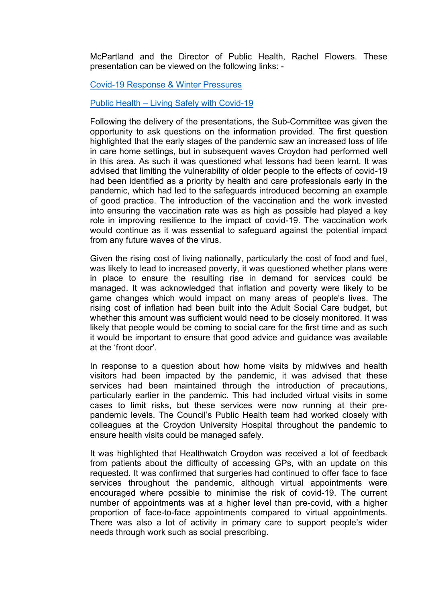McPartland and the Director of Public Health, Rachel Flowers. These presentation can be viewed on the following links: -

Covid-19 [Response](https://democracy.croydon.gov.uk/documents/s36345/Appendix%20A%20Covid-19%20Response%20Winter%20Pressures.pdf) & Winter Pressures

Public Health – Living Safely with [Covid-19](https://democracy.croydon.gov.uk/documents/s36381/Public%20Health%20-%20Living%20Safely%20with%20Covid%20presentation.pdf)

Following the delivery of the presentations, the Sub-Committee was given the opportunity to ask questions on the information provided. The first question highlighted that the early stages of the pandemic saw an increased loss of life in care home settings, but in subsequent waves Croydon had performed well in this area. As such it was questioned what lessons had been learnt. It was advised that limiting the vulnerability of older people to the effects of covid-19 had been identified as a priority by health and care professionals early in the pandemic, which had led to the safeguards introduced becoming an example of good practice. The introduction of the vaccination and the work invested into ensuring the vaccination rate was as high as possible had played a key role in improving resilience to the impact of covid-19. The vaccination work would continue as it was essential to safeguard against the potential impact from any future waves of the virus.

Given the rising cost of living nationally, particularly the cost of food and fuel, was likely to lead to increased poverty, it was questioned whether plans were in place to ensure the resulting rise in demand for services could be managed. It was acknowledged that inflation and poverty were likely to be game changes which would impact on many areas of people's lives. The rising cost of inflation had been built into the Adult Social Care budget, but whether this amount was sufficient would need to be closely monitored. It was likely that people would be coming to social care for the first time and as such it would be important to ensure that good advice and guidance was available at the 'front door'.

In response to a question about how home visits by midwives and health visitors had been impacted by the pandemic, it was advised that these services had been maintained through the introduction of precautions, particularly earlier in the pandemic. This had included virtual visits in some cases to limit risks, but these services were now running at their prepandemic levels. The Council's Public Health team had worked closely with colleagues at the Croydon University Hospital throughout the pandemic to ensure health visits could be managed safely.

It was highlighted that Healthwatch Croydon was received a lot of feedback from patients about the difficulty of accessing GPs, with an update on this requested. It was confirmed that surgeries had continued to offer face to face services throughout the pandemic, although virtual appointments were encouraged where possible to minimise the risk of covid-19. The current number of appointments was at a higher level than pre-covid, with a higher proportion of face-to-face appointments compared to virtual appointments. There was also a lot of activity in primary care to support people's wider needs through work such as social prescribing.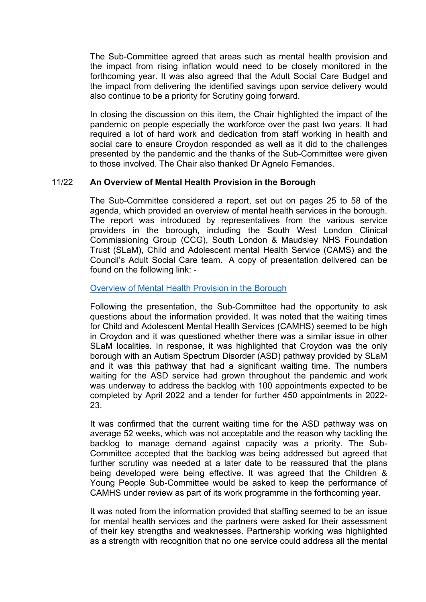The Sub-Committee agreed that areas such as mental health provision and the impact from rising inflation would need to be closely monitored in the forthcoming year. It was also agreed that the Adult Social Care Budget and the impact from delivering the identified savings upon service delivery would also continue to be a priority for Scrutiny going forward.

In closing the discussion on this item, the Chair highlighted the impact of the pandemic on people especially the workforce over the past two years. It had required a lot of hard work and dedication from staff working in health and social care to ensure Croydon responded as well as it did to the challenges presented by the pandemic and the thanks of the Sub-Committee were given to those involved. The Chair also thanked Dr Agnelo Fernandes.

# 11/22 **An Overview of Mental Health Provision in the Borough**

The Sub-Committee considered a report, set out on pages 25 to 58 of the agenda, which provided an overview of mental health services in the borough. The report was introduced by representatives from the various service providers in the borough, including the South West London Clinical Commissioning Group (CCG), South London & Maudsley NHS Foundation Trust (SLaM), Child and Adolescent mental Health Service (CAMS) and the Council's Adult Social Care team. A copy of presentation delivered can be found on the following link: -

### [Overview](https://democracy.croydon.gov.uk/documents/s36356/All%20Age%20Mental%20Health%20-%20Presentation.pdf) of Mental Health Provision in the Borough

Following the presentation, the Sub-Committee had the opportunity to ask questions about the information provided. It was noted that the waiting times for Child and Adolescent Mental Health Services (CAMHS) seemed to be high in Croydon and it was questioned whether there was a similar issue in other SLaM localities. In response, it was highlighted that Croydon was the only borough with an Autism Spectrum Disorder (ASD) pathway provided by SLaM and it was this pathway that had a significant waiting time. The numbers waiting for the ASD service had grown throughout the pandemic and work was underway to address the backlog with 100 appointments expected to be completed by April 2022 and a tender for further 450 appointments in 2022- 23.

It was confirmed that the current waiting time for the ASD pathway was on average 52 weeks, which was not acceptable and the reason why tackling the backlog to manage demand against capacity was a priority. The Sub-Committee accepted that the backlog was being addressed but agreed that further scrutiny was needed at a later date to be reassured that the plans being developed were being effective. It was agreed that the Children & Young People Sub-Committee would be asked to keep the performance of CAMHS under review as part of its work programme in the forthcoming year.

It was noted from the information provided that staffing seemed to be an issue for mental health services and the partners were asked for their assessment of their key strengths and weaknesses. Partnership working was highlighted as a strength with recognition that no one service could address all the mental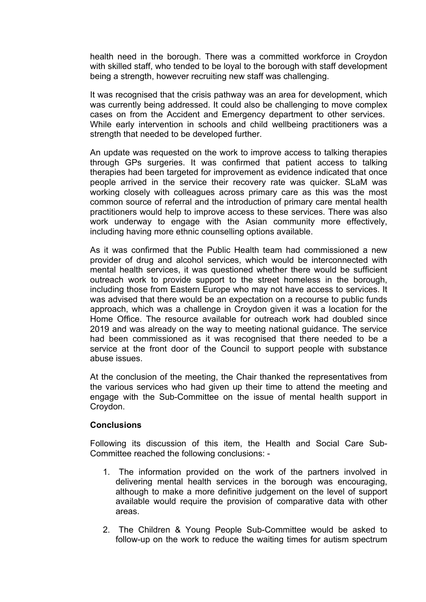health need in the borough. There was a committed workforce in Croydon with skilled staff, who tended to be loyal to the borough with staff development being a strength, however recruiting new staff was challenging.

It was recognised that the crisis pathway was an area for development, which was currently being addressed. It could also be challenging to move complex cases on from the Accident and Emergency department to other services. While early intervention in schools and child wellbeing practitioners was a strength that needed to be developed further.

An update was requested on the work to improve access to talking therapies through GPs surgeries. It was confirmed that patient access to talking therapies had been targeted for improvement as evidence indicated that once people arrived in the service their recovery rate was quicker. SLaM was working closely with colleagues across primary care as this was the most common source of referral and the introduction of primary care mental health practitioners would help to improve access to these services. There was also work underway to engage with the Asian community more effectively, including having more ethnic counselling options available.

As it was confirmed that the Public Health team had commissioned a new provider of drug and alcohol services, which would be interconnected with mental health services, it was questioned whether there would be sufficient outreach work to provide support to the street homeless in the borough, including those from Eastern Europe who may not have access to services. It was advised that there would be an expectation on a recourse to public funds approach, which was a challenge in Croydon given it was a location for the Home Office. The resource available for outreach work had doubled since 2019 and was already on the way to meeting national guidance. The service had been commissioned as it was recognised that there needed to be a service at the front door of the Council to support people with substance abuse issues.

At the conclusion of the meeting, the Chair thanked the representatives from the various services who had given up their time to attend the meeting and engage with the Sub-Committee on the issue of mental health support in Croydon.

# **Conclusions**

Following its discussion of this item, the Health and Social Care Sub-Committee reached the following conclusions: -

- 1. The information provided on the work of the partners involved in delivering mental health services in the borough was encouraging, although to make a more definitive judgement on the level of support available would require the provision of comparative data with other areas.
- 2. The Children & Young People Sub-Committee would be asked to follow-up on the work to reduce the waiting times for autism spectrum